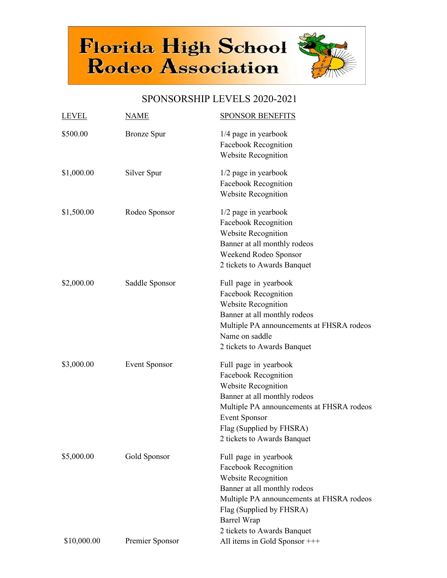

## SPONSORSHIP LEVELS 2020-2021

| <b>LEVEL</b> | <u>NAME</u>          | <b>SPONSOR BENEFITS</b>                                                                                                                                                                                                                   |
|--------------|----------------------|-------------------------------------------------------------------------------------------------------------------------------------------------------------------------------------------------------------------------------------------|
| \$500.00     | <b>Bronze</b> Spur   | $1/4$ page in yearbook<br>Facebook Recognition<br>Website Recognition                                                                                                                                                                     |
| \$1,000.00   | Silver Spur          | 1/2 page in yearbook<br>Facebook Recognition<br><b>Website Recognition</b>                                                                                                                                                                |
| \$1,500.00   | Rodeo Sponsor        | $1/2$ page in yearbook<br>Facebook Recognition<br>Website Recognition<br>Banner at all monthly rodeos<br>Weekend Rodeo Sponsor<br>2 tickets to Awards Banquet                                                                             |
| \$2,000.00   | Saddle Sponsor       | Full page in yearbook<br>Facebook Recognition<br>Website Recognition<br>Banner at all monthly rodeos<br>Multiple PA announcements at FHSRA rodeos<br>Name on saddle<br>2 tickets to Awards Banquet                                        |
| \$3,000.00   | <b>Event Sponsor</b> | Full page in yearbook<br>Facebook Recognition<br>Website Recognition<br>Banner at all monthly rodeos<br>Multiple PA announcements at FHSRA rodeos<br><b>Event Sponsor</b><br>Flag (Supplied by FHSRA)<br>2 tickets to Awards Banquet      |
| \$5,000.00   | Gold Sponsor         | Full page in yearbook<br>Facebook Recognition<br><b>Website Recognition</b><br>Banner at all monthly rodeos<br>Multiple PA announcements at FHSRA rodeos<br>Flag (Supplied by FHSRA)<br><b>Barrel Wrap</b><br>2 tickets to Awards Banquet |
| \$10,000.00  | Premier Sponsor      | All items in Gold Sponsor +++                                                                                                                                                                                                             |